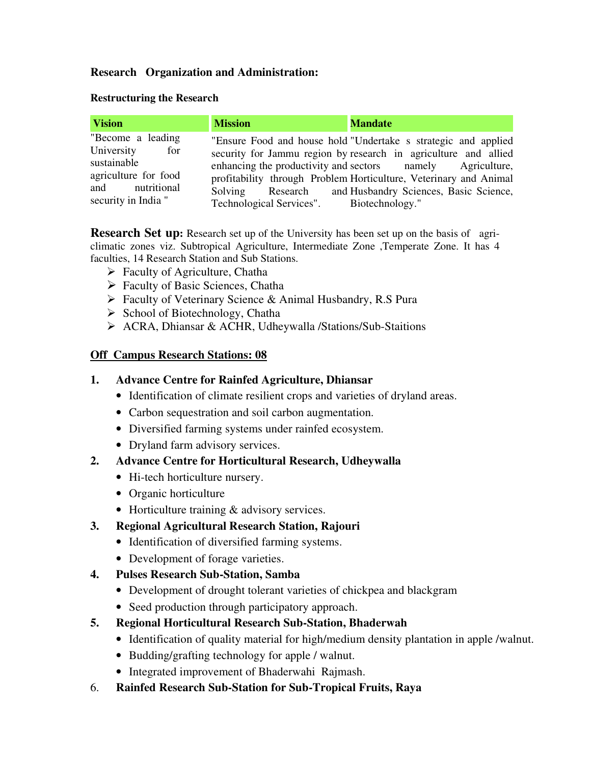### **Research Organization and Administration:**

#### **Restructuring the Research**

| <b>Vision</b>                                                                                                           | <b>Mission</b>                           | <b>Mandate</b>                                                                                                                                                                                                                                                                                                                  |
|-------------------------------------------------------------------------------------------------------------------------|------------------------------------------|---------------------------------------------------------------------------------------------------------------------------------------------------------------------------------------------------------------------------------------------------------------------------------------------------------------------------------|
| "Become a leading"<br>University<br>for<br>sustainable<br>agriculture for food<br>and nutritional<br>security in India" | Technological Services". Biotechnology." | "Ensure Food and house hold "Undertake s strategic and applied<br>security for Jammu region by research in agriculture and allied<br>enhancing the productivity and sectors mamely Agriculture,<br>profitability through Problem Horticulture, Veterinary and Animal<br>Solving Research and Husbandry Sciences, Basic Science, |

**Research Set up:** Research set up of the University has been set up on the basis of agriclimatic zones viz. Subtropical Agriculture, Intermediate Zone ,Temperate Zone. It has 4 faculties, 14 Research Station and Sub Stations.

- $\triangleright$  Faculty of Agriculture, Chatha
- $\triangleright$  Faculty of Basic Sciences, Chatha
- Faculty of Veterinary Science & Animal Husbandry, R.S Pura
- $\triangleright$  School of Biotechnology, Chatha
- ACRA, Dhiansar & ACHR, Udheywalla /Stations/Sub-Staitions

### **Off Campus Research Stations: 08**

### **1. Advance Centre for Rainfed Agriculture, Dhiansar**

- Identification of climate resilient crops and varieties of dryland areas.
- Carbon sequestration and soil carbon augmentation.
- Diversified farming systems under rainfed ecosystem.
- Dryland farm advisory services.

# **2. Advance Centre for Horticultural Research, Udheywalla**

- Hi-tech horticulture nursery.
- Organic horticulture
- Horticulture training & advisory services.

# **3. Regional Agricultural Research Station, Rajouri**

- Identification of diversified farming systems.
- Development of forage varieties.
- **4. Pulses Research Sub-Station, Samba** 
	- Development of drought tolerant varieties of chickpea and blackgram
	- Seed production through participatory approach.
- **5. Regional Horticultural Research Sub-Station, Bhaderwah** 
	- Identification of quality material for high/medium density plantation in apple /walnut.
	- Budding/grafting technology for apple / walnut.
	- Integrated improvement of Bhaderwahi Rajmash.
- 6. **Rainfed Research Sub-Station for Sub-Tropical Fruits, Raya**